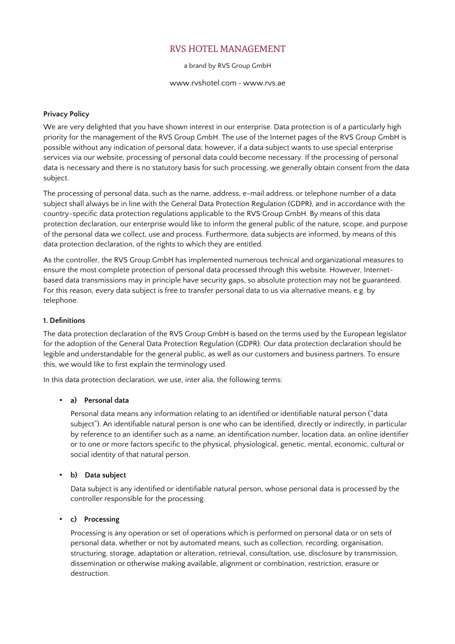# RVS HOTEL MANAGEMENT

a brand by RVS Group GmbH

www.rvshotel.com • www.rvs.ae

### **Privacy Policy**

We are very delighted that you have shown interest in our enterprise. Data protection is of a particularly high priority for the management of the RVS Group GmbH. The use of the Internet pages of the RVS Group GmbH is possible without any indication of personal data; however, if a data subject wants to use special enterprise services via our website, processing of personal data could become necessary. If the processing of personal data is necessary and there is no statutory basis for such processing, we generally obtain consent from the data subject.

The processing of personal data, such as the name, address, e-mail address, or telephone number of a data subject shall always be in line with the General Data Protection Regulation (GDPR), and in accordance with the country-specifc data protection regulations applicable to the RVS Group GmbH. By means of this data protection declaration, our enterprise would like to inform the general public of the nature, scope, and purpose of the personal data we collect, use and process. Furthermore, data subjects are informed, by means of this data protection declaration, of the rights to which they are entitled.

As the controller, the RVS Group GmbH has implemented numerous technical and organizational measures to ensure the most complete protection of personal data processed through this website. However, Internetbased data transmissions may in principle have security gaps, so absolute protection may not be guaranteed. For this reason, every data subject is free to transfer personal data to us via alternative means, e.g. by telephone.

### **1. Defnitions**

The data protection declaration of the RVS Group GmbH is based on the terms used by the European legislator for the adoption of the General Data Protection Regulation (GDPR). Our data protection declaration should be legible and understandable for the general public, as well as our customers and business partners. To ensure this, we would like to frst explain the terminology used.

In this data protection declaration, we use, inter alia, the following terms:

#### • **a) Personal data**

Personal data means any information relating to an identifed or identifable natural person ("data subject"). An identifable natural person is one who can be identifed, directly or indirectly, in particular by reference to an identifer such as a name, an identifcation number, location data, an online identifer or to one or more factors specifc to the physical, physiological, genetic, mental, economic, cultural or social identity of that natural person.

### • **b) Data subject**

Data subject is any identifed or identifable natural person, whose personal data is processed by the controller responsible for the processing.

#### • **c) Processing**

Processing is any operation or set of operations which is performed on personal data or on sets of personal data, whether or not by automated means, such as collection, recording, organisation, structuring, storage, adaptation or alteration, retrieval, consultation, use, disclosure by transmission, dissemination or otherwise making available, alignment or combination, restriction, erasure or destruction.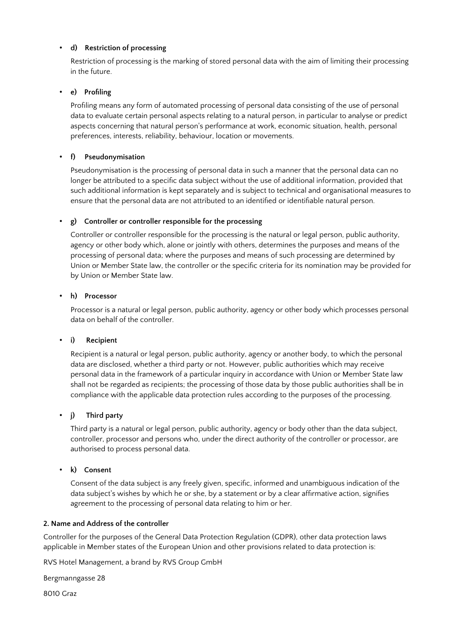# • **d) Restriction of processing**

Restriction of processing is the marking of stored personal data with the aim of limiting their processing in the future.

# • **e) Profling**

Profling means any form of automated processing of personal data consisting of the use of personal data to evaluate certain personal aspects relating to a natural person, in particular to analyse or predict aspects concerning that natural person's performance at work, economic situation, health, personal preferences, interests, reliability, behaviour, location or movements.

# • **f) Pseudonymisation**

Pseudonymisation is the processing of personal data in such a manner that the personal data can no longer be attributed to a specifc data subject without the use of additional information, provided that such additional information is kept separately and is subject to technical and organisational measures to ensure that the personal data are not attributed to an identifed or identifable natural person.

# • **g) Controller or controller responsible for the processing**

Controller or controller responsible for the processing is the natural or legal person, public authority, agency or other body which, alone or jointly with others, determines the purposes and means of the processing of personal data; where the purposes and means of such processing are determined by Union or Member State law, the controller or the specifc criteria for its nomination may be provided for by Union or Member State law.

### • **h) Processor**

Processor is a natural or legal person, public authority, agency or other body which processes personal data on behalf of the controller.

### • **i) Recipient**

Recipient is a natural or legal person, public authority, agency or another body, to which the personal data are disclosed, whether a third party or not. However, public authorities which may receive personal data in the framework of a particular inquiry in accordance with Union or Member State law shall not be regarded as recipients; the processing of those data by those public authorities shall be in compliance with the applicable data protection rules according to the purposes of the processing.

# • **j) Third party**

Third party is a natural or legal person, public authority, agency or body other than the data subject, controller, processor and persons who, under the direct authority of the controller or processor, are authorised to process personal data.

### • **k) Consent**

Consent of the data subject is any freely given, specifc, informed and unambiguous indication of the data subject's wishes by which he or she, by a statement or by a clear affrmative action, signifes agreement to the processing of personal data relating to him or her.

### **2. Name and Address of the controller**

Controller for the purposes of the General Data Protection Regulation (GDPR), other data protection laws applicable in Member states of the European Union and other provisions related to data protection is:

RVS Hotel Management, a brand by RVS Group GmbH

Bergmanngasse 28

8010 Graz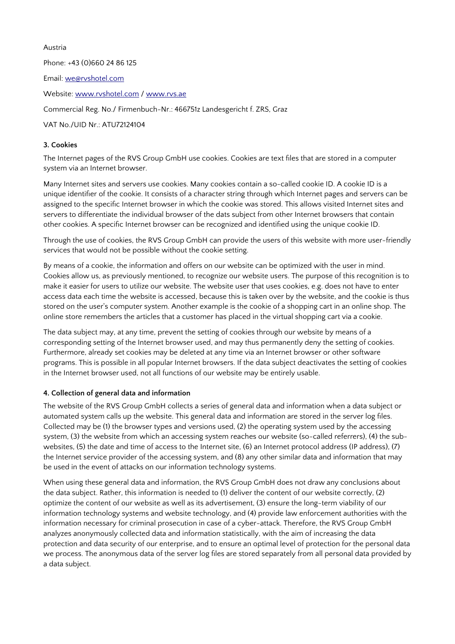Austria Phone: +43 (0)660 24 86 125 Email: [we@rvshotel.com](mailto:we@rvshotel.com) Website: [www.rvshotel.com](http://www.rvshotel.com/) / [www.rvs.ae](http://www.rvs.ae/) Commercial Reg. No./ Firmenbuch-Nr.: 466751z Landesgericht f. ZRS, Graz

VAT No./UID Nr.: ATU72124104

# **3. Cookies**

The Internet pages of the RVS Group GmbH use cookies. Cookies are text fles that are stored in a computer system via an Internet browser.

Many Internet sites and servers use cookies. Many cookies contain a so-called cookie ID. A cookie ID is a unique identifer of the cookie. It consists of a character string through which Internet pages and servers can be assigned to the specifc Internet browser in which the cookie was stored. This allows visited Internet sites and servers to differentiate the individual browser of the dats subject from other Internet browsers that contain other cookies. A specifc Internet browser can be recognized and identifed using the unique cookie ID.

Through the use of cookies, the RVS Group GmbH can provide the users of this website with more user-friendly services that would not be possible without the cookie setting.

By means of a cookie, the information and offers on our website can be optimized with the user in mind. Cookies allow us, as previously mentioned, to recognize our website users. The purpose of this recognition is to make it easier for users to utilize our website. The website user that uses cookies, e.g. does not have to enter access data each time the website is accessed, because this is taken over by the website, and the cookie is thus stored on the user's computer system. Another example is the cookie of a shopping cart in an online shop. The online store remembers the articles that a customer has placed in the virtual shopping cart via a cookie.

The data subject may, at any time, prevent the setting of cookies through our website by means of a corresponding setting of the Internet browser used, and may thus permanently deny the setting of cookies. Furthermore, already set cookies may be deleted at any time via an Internet browser or other software programs. This is possible in all popular Internet browsers. If the data subject deactivates the setting of cookies in the Internet browser used, not all functions of our website may be entirely usable.

### **4. Collection of general data and information**

The website of the RVS Group GmbH collects a series of general data and information when a data subject or automated system calls up the website. This general data and information are stored in the server log fles. Collected may be (1) the browser types and versions used, (2) the operating system used by the accessing system, (3) the website from which an accessing system reaches our website (so-called referrers), (4) the subwebsites, (5) the date and time of access to the Internet site, (6) an Internet protocol address (IP address), (7) the Internet service provider of the accessing system, and (8) any other similar data and information that may be used in the event of attacks on our information technology systems.

When using these general data and information, the RVS Group GmbH does not draw any conclusions about the data subject. Rather, this information is needed to (1) deliver the content of our website correctly, (2) optimize the content of our website as well as its advertisement, (3) ensure the long-term viability of our information technology systems and website technology, and (4) provide law enforcement authorities with the information necessary for criminal prosecution in case of a cyber-attack. Therefore, the RVS Group GmbH analyzes anonymously collected data and information statistically, with the aim of increasing the data protection and data security of our enterprise, and to ensure an optimal level of protection for the personal data we process. The anonymous data of the server log fles are stored separately from all personal data provided by a data subject.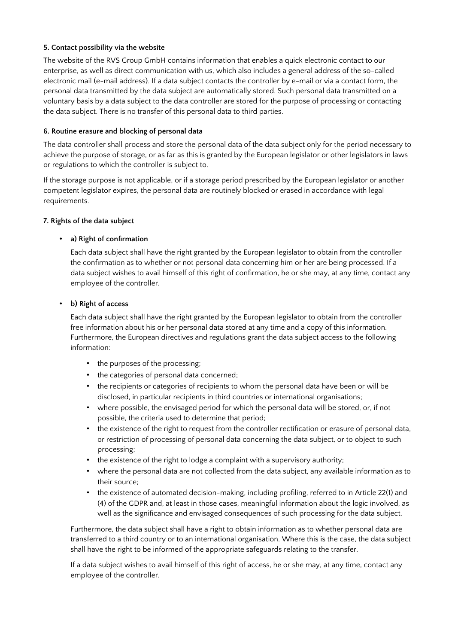# **5. Contact possibility via the website**

The website of the RVS Group GmbH contains information that enables a quick electronic contact to our enterprise, as well as direct communication with us, which also includes a general address of the so-called electronic mail (e-mail address). If a data subject contacts the controller by e-mail or via a contact form, the personal data transmitted by the data subject are automatically stored. Such personal data transmitted on a voluntary basis by a data subject to the data controller are stored for the purpose of processing or contacting the data subject. There is no transfer of this personal data to third parties.

# **6. Routine erasure and blocking of personal data**

The data controller shall process and store the personal data of the data subject only for the period necessary to achieve the purpose of storage, or as far as this is granted by the European legislator or other legislators in laws or regulations to which the controller is subject to.

If the storage purpose is not applicable, or if a storage period prescribed by the European legislator or another competent legislator expires, the personal data are routinely blocked or erased in accordance with legal requirements.

# **7. Rights of the data subject**

# • **a) Right of confrmation**

Each data subject shall have the right granted by the European legislator to obtain from the controller the confrmation as to whether or not personal data concerning him or her are being processed. If a data subject wishes to avail himself of this right of confrmation, he or she may, at any time, contact any employee of the controller.

# • **b) Right of access**

Each data subject shall have the right granted by the European legislator to obtain from the controller free information about his or her personal data stored at any time and a copy of this information. Furthermore, the European directives and regulations grant the data subject access to the following information:

- the purposes of the processing;
- the categories of personal data concerned;
- the recipients or categories of recipients to whom the personal data have been or will be disclosed, in particular recipients in third countries or international organisations;
- where possible, the envisaged period for which the personal data will be stored, or, if not possible, the criteria used to determine that period;
- the existence of the right to request from the controller rectifcation or erasure of personal data, or restriction of processing of personal data concerning the data subject, or to object to such processing;
- the existence of the right to lodge a complaint with a supervisory authority;
- where the personal data are not collected from the data subject, any available information as to their source;
- the existence of automated decision-making, including profling, referred to in Article 22(1) and (4) of the GDPR and, at least in those cases, meaningful information about the logic involved, as well as the signifcance and envisaged consequences of such processing for the data subject.

Furthermore, the data subject shall have a right to obtain information as to whether personal data are transferred to a third country or to an international organisation. Where this is the case, the data subject shall have the right to be informed of the appropriate safeguards relating to the transfer.

If a data subject wishes to avail himself of this right of access, he or she may, at any time, contact any employee of the controller.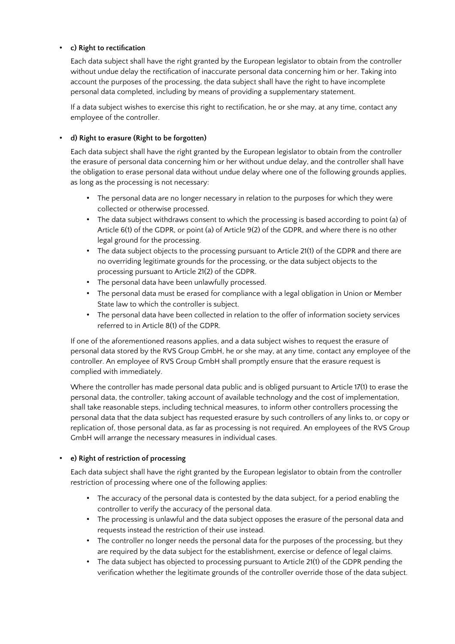# • **c) Right to rectifcation**

Each data subject shall have the right granted by the European legislator to obtain from the controller without undue delay the rectifcation of inaccurate personal data concerning him or her. Taking into account the purposes of the processing, the data subject shall have the right to have incomplete personal data completed, including by means of providing a supplementary statement.

If a data subject wishes to exercise this right to rectifcation, he or she may, at any time, contact any employee of the controller.

# • **d) Right to erasure (Right to be forgotten)**

Each data subject shall have the right granted by the European legislator to obtain from the controller the erasure of personal data concerning him or her without undue delay, and the controller shall have the obligation to erase personal data without undue delay where one of the following grounds applies, as long as the processing is not necessary:

- The personal data are no longer necessary in relation to the purposes for which they were collected or otherwise processed.
- The data subject withdraws consent to which the processing is based according to point (a) of Article 6(1) of the GDPR, or point (a) of Article 9(2) of the GDPR, and where there is no other legal ground for the processing.
- The data subject objects to the processing pursuant to Article 21(1) of the GDPR and there are no overriding legitimate grounds for the processing, or the data subject objects to the processing pursuant to Article 21(2) of the GDPR.
- The personal data have been unlawfully processed.
- The personal data must be erased for compliance with a legal obligation in Union or Member State law to which the controller is subject.
- The personal data have been collected in relation to the offer of information society services referred to in Article 8(1) of the GDPR.

If one of the aforementioned reasons applies, and a data subject wishes to request the erasure of personal data stored by the RVS Group GmbH, he or she may, at any time, contact any employee of the controller. An employee of RVS Group GmbH shall promptly ensure that the erasure request is complied with immediately.

Where the controller has made personal data public and is obliged pursuant to Article 17(1) to erase the personal data, the controller, taking account of available technology and the cost of implementation, shall take reasonable steps, including technical measures, to inform other controllers processing the personal data that the data subject has requested erasure by such controllers of any links to, or copy or replication of, those personal data, as far as processing is not required. An employees of the RVS Group GmbH will arrange the necessary measures in individual cases.

### • **e) Right of restriction of processing**

Each data subject shall have the right granted by the European legislator to obtain from the controller restriction of processing where one of the following applies:

- The accuracy of the personal data is contested by the data subject, for a period enabling the controller to verify the accuracy of the personal data.
- The processing is unlawful and the data subject opposes the erasure of the personal data and requests instead the restriction of their use instead.
- The controller no longer needs the personal data for the purposes of the processing, but they are required by the data subject for the establishment, exercise or defence of legal claims.
- The data subject has objected to processing pursuant to Article 21(1) of the GDPR pending the verifcation whether the legitimate grounds of the controller override those of the data subject.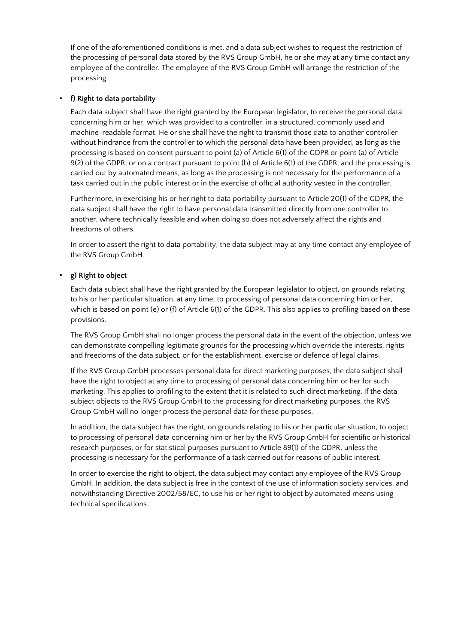If one of the aforementioned conditions is met, and a data subject wishes to request the restriction of the processing of personal data stored by the RVS Group GmbH, he or she may at any time contact any employee of the controller. The employee of the RVS Group GmbH will arrange the restriction of the processing.

### • **f) Right to data portability**

Each data subject shall have the right granted by the European legislator, to receive the personal data concerning him or her, which was provided to a controller, in a structured, commonly used and machine-readable format. He or she shall have the right to transmit those data to another controller without hindrance from the controller to which the personal data have been provided, as long as the processing is based on consent pursuant to point (a) of Article 6(1) of the GDPR or point (a) of Article 9(2) of the GDPR, or on a contract pursuant to point (b) of Article 6(1) of the GDPR, and the processing is carried out by automated means, as long as the processing is not necessary for the performance of a task carried out in the public interest or in the exercise of offcial authority vested in the controller.

Furthermore, in exercising his or her right to data portability pursuant to Article 20(1) of the GDPR, the data subject shall have the right to have personal data transmitted directly from one controller to another, where technically feasible and when doing so does not adversely affect the rights and freedoms of others.

In order to assert the right to data portability, the data subject may at any time contact any employee of the RVS Group GmbH.

# • **g) Right to object**

Each data subject shall have the right granted by the European legislator to object, on grounds relating to his or her particular situation, at any time, to processing of personal data concerning him or her, which is based on point (e) or (f) of Article 6(1) of the GDPR. This also applies to profiling based on these provisions.

The RVS Group GmbH shall no longer process the personal data in the event of the objection, unless we can demonstrate compelling legitimate grounds for the processing which override the interests, rights and freedoms of the data subject, or for the establishment, exercise or defence of legal claims.

If the RVS Group GmbH processes personal data for direct marketing purposes, the data subject shall have the right to object at any time to processing of personal data concerning him or her for such marketing. This applies to profling to the extent that it is related to such direct marketing. If the data subject objects to the RVS Group GmbH to the processing for direct marketing purposes, the RVS Group GmbH will no longer process the personal data for these purposes.

In addition, the data subject has the right, on grounds relating to his or her particular situation, to object to processing of personal data concerning him or her by the RVS Group GmbH for scientifc or historical research purposes, or for statistical purposes pursuant to Article 89(1) of the GDPR, unless the processing is necessary for the performance of a task carried out for reasons of public interest.

In order to exercise the right to object, the data subject may contact any employee of the RVS Group GmbH. In addition, the data subject is free in the context of the use of information society services, and notwithstanding Directive 2002/58/EC, to use his or her right to object by automated means using technical specifications.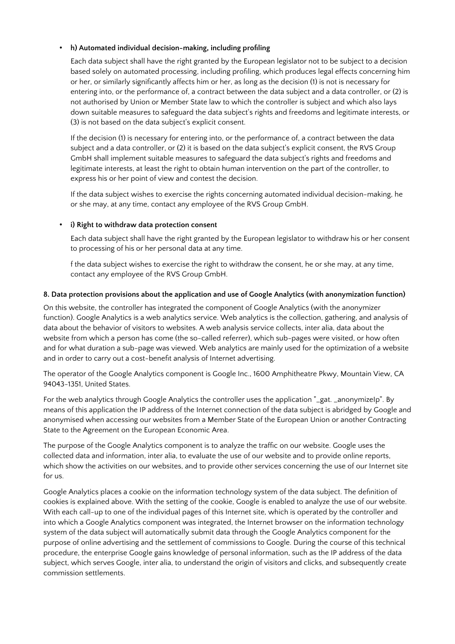# • **h) Automated individual decision-making, including profling**

Each data subject shall have the right granted by the European legislator not to be subject to a decision based solely on automated processing, including profling, which produces legal effects concerning him or her, or similarly signifcantly affects him or her, as long as the decision (1) is not is necessary for entering into, or the performance of, a contract between the data subject and a data controller, or (2) is not authorised by Union or Member State law to which the controller is subject and which also lays down suitable measures to safeguard the data subject's rights and freedoms and legitimate interests, or (3) is not based on the data subject's explicit consent.

If the decision (1) is necessary for entering into, or the performance of, a contract between the data subject and a data controller, or (2) it is based on the data subject's explicit consent, the RVS Group GmbH shall implement suitable measures to safeguard the data subject's rights and freedoms and legitimate interests, at least the right to obtain human intervention on the part of the controller, to express his or her point of view and contest the decision.

If the data subject wishes to exercise the rights concerning automated individual decision-making, he or she may, at any time, contact any employee of the RVS Group GmbH.

# • **i) Right to withdraw data protection consent**

Each data subject shall have the right granted by the European legislator to withdraw his or her consent to processing of his or her personal data at any time.

f the data subject wishes to exercise the right to withdraw the consent, he or she may, at any time, contact any employee of the RVS Group GmbH.

# **8. Data protection provisions about the application and use of Google Analytics (with anonymization function)**

On this website, the controller has integrated the component of Google Analytics (with the anonymizer function). Google Analytics is a web analytics service. Web analytics is the collection, gathering, and analysis of data about the behavior of visitors to websites. A web analysis service collects, inter alia, data about the website from which a person has come (the so-called referrer), which sub-pages were visited, or how often and for what duration a sub-page was viewed. Web analytics are mainly used for the optimization of a website and in order to carry out a cost-beneft analysis of Internet advertising.

The operator of the Google Analytics component is Google Inc., 1600 Amphitheatre Pkwy, Mountain View, CA 94043-1351, United States.

For the web analytics through Google Analytics the controller uses the application "\_gat. \_anonymizeIp". By means of this application the IP address of the Internet connection of the data subject is abridged by Google and anonymised when accessing our websites from a Member State of the European Union or another Contracting State to the Agreement on the European Economic Area.

The purpose of the Google Analytics component is to analyze the traffc on our website. Google uses the collected data and information, inter alia, to evaluate the use of our website and to provide online reports, which show the activities on our websites, and to provide other services concerning the use of our Internet site for us.

Google Analytics places a cookie on the information technology system of the data subject. The defnition of cookies is explained above. With the setting of the cookie, Google is enabled to analyze the use of our website. With each call-up to one of the individual pages of this Internet site, which is operated by the controller and into which a Google Analytics component was integrated, the Internet browser on the information technology system of the data subject will automatically submit data through the Google Analytics component for the purpose of online advertising and the settlement of commissions to Google. During the course of this technical procedure, the enterprise Google gains knowledge of personal information, such as the IP address of the data subject, which serves Google, inter alia, to understand the origin of visitors and clicks, and subsequently create commission settlements.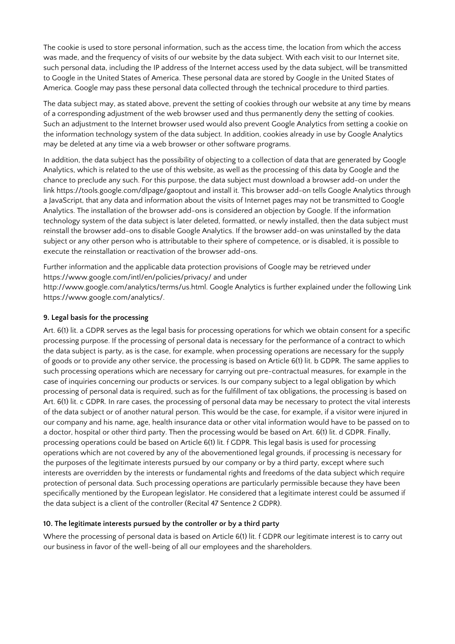The cookie is used to store personal information, such as the access time, the location from which the access was made, and the frequency of visits of our website by the data subject. With each visit to our Internet site, such personal data, including the IP address of the Internet access used by the data subject, will be transmitted to Google in the United States of America. These personal data are stored by Google in the United States of America. Google may pass these personal data collected through the technical procedure to third parties.

The data subject may, as stated above, prevent the setting of cookies through our website at any time by means of a corresponding adjustment of the web browser used and thus permanently deny the setting of cookies. Such an adjustment to the Internet browser used would also prevent Google Analytics from setting a cookie on the information technology system of the data subject. In addition, cookies already in use by Google Analytics may be deleted at any time via a web browser or other software programs.

In addition, the data subject has the possibility of objecting to a collection of data that are generated by Google Analytics, which is related to the use of this website, as well as the processing of this data by Google and the chance to preclude any such. For this purpose, the data subject must download a browser add-on under the link https://tools.google.com/dlpage/gaoptout and install it. This browser add-on tells Google Analytics through a JavaScript, that any data and information about the visits of Internet pages may not be transmitted to Google Analytics. The installation of the browser add-ons is considered an objection by Google. If the information technology system of the data subject is later deleted, formatted, or newly installed, then the data subject must reinstall the browser add-ons to disable Google Analytics. If the browser add-on was uninstalled by the data subject or any other person who is attributable to their sphere of competence, or is disabled, it is possible to execute the reinstallation or reactivation of the browser add-ons.

Further information and the applicable data protection provisions of Google may be retrieved under https://www.google.com/intl/en/policies/privacy/ and under

http://www.google.com/analytics/terms/us.html. Google Analytics is further explained under the following Link https://www.google.com/analytics/.

### **9. Legal basis for the processing**

Art. 6(1) lit. a GDPR serves as the legal basis for processing operations for which we obtain consent for a specifc processing purpose. If the processing of personal data is necessary for the performance of a contract to which the data subject is party, as is the case, for example, when processing operations are necessary for the supply of goods or to provide any other service, the processing is based on Article 6(1) lit. b GDPR. The same applies to such processing operations which are necessary for carrying out pre-contractual measures, for example in the case of inquiries concerning our products or services. Is our company subject to a legal obligation by which processing of personal data is required, such as for the fulfllment of tax obligations, the processing is based on Art. 6(1) lit. c GDPR. In rare cases, the processing of personal data may be necessary to protect the vital interests of the data subject or of another natural person. This would be the case, for example, if a visitor were injured in our company and his name, age, health insurance data or other vital information would have to be passed on to a doctor, hospital or other third party. Then the processing would be based on Art. 6(1) lit. d GDPR. Finally, processing operations could be based on Article 6(1) lit. f GDPR. This legal basis is used for processing operations which are not covered by any of the abovementioned legal grounds, if processing is necessary for the purposes of the legitimate interests pursued by our company or by a third party, except where such interests are overridden by the interests or fundamental rights and freedoms of the data subject which require protection of personal data. Such processing operations are particularly permissible because they have been specifcally mentioned by the European legislator. He considered that a legitimate interest could be assumed if the data subject is a client of the controller (Recital 47 Sentence 2 GDPR).

### **10. The legitimate interests pursued by the controller or by a third party**

Where the processing of personal data is based on Article 6(1) lit. f GDPR our legitimate interest is to carry out our business in favor of the well-being of all our employees and the shareholders.